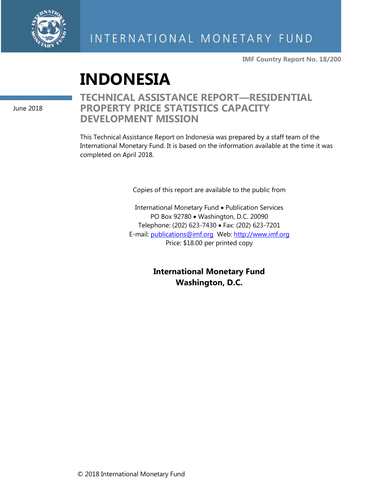

**IMF Country Report No. 18/200**

# **INDONESIA**

June 2018

# **TECHNICAL ASSISTANCE REPORT—RESIDENTIAL PROPERTY PRICE STATISTICS CAPACITY DEVELOPMENT MISSION**

This Technical Assistance Report on Indonesia was prepared by a staff team of the International Monetary Fund. It is based on the information available at the time it was completed on April 2018.

Copies of this report are available to the public from

International Monetary Fund • Publication Services PO Box 92780 • Washington, D.C. 20090 Telephone: (202) 623-7430 • Fax: (202) 623-7201 E-mail: [publications@imf.org](mailto:publications@imf.org) Web: [http://www.imf.org](http://www.imf.org/) Price: \$18.00 per printed copy

> **International Monetary Fund Washington, D.C.**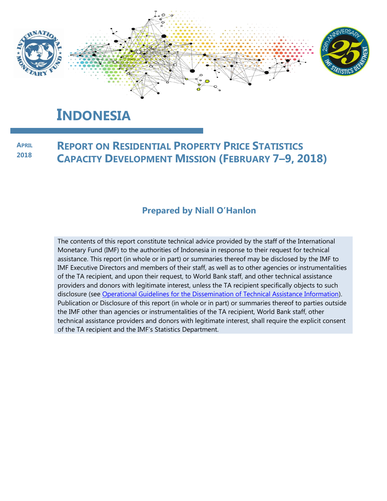

# **INDONESIA**

**REPORT ON RESIDENTIAL PROPERTY PRICE STATISTICS CAPACITY DEVELOPMENT MISSION (FEBRUARY 7–9, 2018) APRIL 2018**

### **Prepared by Niall O'Hanlon**

The contents of this report constitute technical advice provided by the staff of the International Monetary Fund (IMF) to the authorities of Indonesia in response to their request for technical assistance. This report (in whole or in part) or summaries thereof may be disclosed by the IMF to IMF Executive Directors and members of their staff, as well as to other agencies or instrumentalities of the TA recipient, and upon their request, to World Bank staff, and other technical assistance providers and donors with legitimate interest, unless the TA recipient specifically objects to such disclosure (see [Operational Guidelines for the Dissemination of Technical Assistance Information\)](http://www.imf.org/external/np/pp/eng/2013/061013.pdf). Publication or Disclosure of this report (in whole or in part) or summaries thereof to parties outside the IMF other than agencies or instrumentalities of the TA recipient, World Bank staff, other technical assistance providers and donors with legitimate interest, shall require the explicit consent of the TA recipient and the IMF's Statistics Department.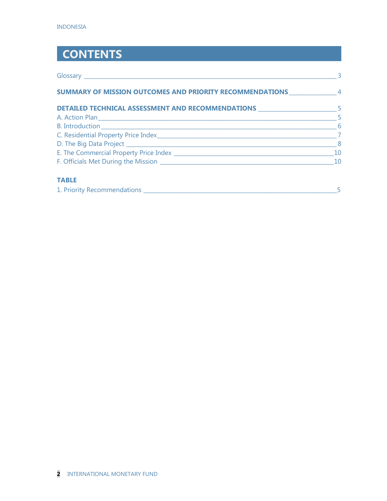# **CONTENTS**

|                                                                                   | $\overline{\mathbf{3}}$    |
|-----------------------------------------------------------------------------------|----------------------------|
| SUMMARY OF MISSION OUTCOMES AND PRIORITY RECOMMENDATIONS __________________4      |                            |
| DETAILED TECHNICAL ASSESSMENT AND RECOMMENDATIONS _______________________________ |                            |
|                                                                                   |                            |
|                                                                                   |                            |
|                                                                                   | $\overline{7}$             |
|                                                                                   | $\overline{\phantom{0}}$ 8 |
|                                                                                   | 10                         |
|                                                                                   |                            |
| <b>TABLE</b>                                                                      |                            |

| 1. Priority Recommendations |  |
|-----------------------------|--|
|                             |  |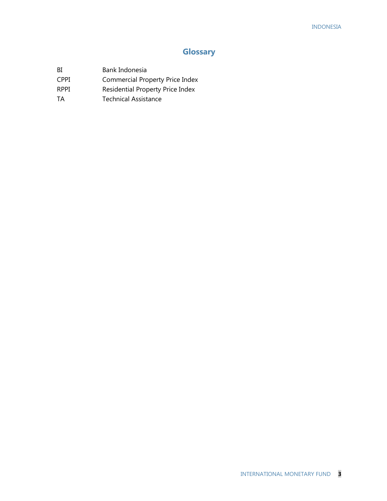## **Glossary**

- BI Bank Indonesia
- CPPI Commercial Property Price Index
- RPPI Residential Property Price Index
- TA Technical Assistance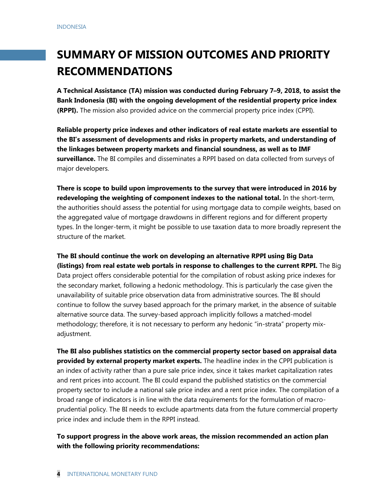# **SUMMARY OF MISSION OUTCOMES AND PRIORITY RECOMMENDATIONS**

**A Technical Assistance (TA) mission was conducted during February 7–9, 2018, to assist the Bank Indonesia (BI) with the ongoing development of the residential property price index (RPPI).** The mission also provided advice on the commercial property price index (CPPI).

**Reliable property price indexes and other indicators of real estate markets are essential to the BI's assessment of developments and risks in property markets, and understanding of the linkages between property markets and financial soundness, as well as to IMF surveillance.** The BI compiles and disseminates a RPPI based on data collected from surveys of major developers.

**There is scope to build upon improvements to the survey that were introduced in 2016 by redeveloping the weighting of component indexes to the national total.** In the short-term, the authorities should assess the potential for using mortgage data to compile weights, based on the aggregated value of mortgage drawdowns in different regions and for different property types. In the longer-term, it might be possible to use taxation data to more broadly represent the structure of the market.

**The BI should continue the work on developing an alternative RPPI using Big Data (listings) from real estate web portals in response to challenges to the current RPPI.** The Big Data project offers considerable potential for the compilation of robust asking price indexes for the secondary market, following a hedonic methodology. This is particularly the case given the unavailability of suitable price observation data from administrative sources. The BI should continue to follow the survey based approach for the primary market, in the absence of suitable alternative source data. The survey-based approach implicitly follows a matched-model methodology; therefore, it is not necessary to perform any hedonic "in-strata" property mixadjustment.

**The BI also publishes statistics on the commercial property sector based on appraisal data provided by external property market experts.** The headline index in the CPPI publication is an index of activity rather than a pure sale price index, since it takes market capitalization rates and rent prices into account. The BI could expand the published statistics on the commercial property sector to include a national sale price index and a rent price index. The compilation of a broad range of indicators is in line with the data requirements for the formulation of macroprudential policy. The BI needs to exclude apartments data from the future commercial property price index and include them in the RPPI instead.

#### **To support progress in the above work areas, the mission recommended an action plan with the following priority recommendations:**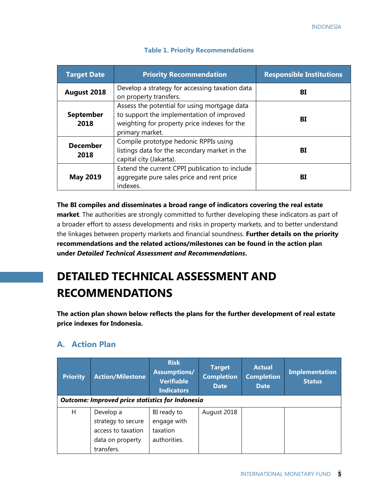| <b>Target Date</b>       | <b>Priority Recommendation</b>                                                                                                                               | <b>Responsible Institutions</b> |
|--------------------------|--------------------------------------------------------------------------------------------------------------------------------------------------------------|---------------------------------|
| August 2018              | Develop a strategy for accessing taxation data<br>on property transfers.                                                                                     | BI                              |
| <b>September</b><br>2018 | Assess the potential for using mortgage data<br>to support the implementation of improved<br>weighting for property price indexes for the<br>primary market. | BI                              |
| <b>December</b><br>2018  | Compile prototype hedonic RPPIs using<br>listings data for the secondary market in the<br>capital city (Jakarta).                                            | BI                              |
| <b>May 2019</b>          | Extend the current CPPI publication to include<br>aggregate pure sales price and rent price<br>indexes.                                                      | BI                              |

#### **Table 1. Priority Recommendations**

**The BI compiles and disseminates a broad range of indicators covering the real estate market**. The authorities are strongly committed to further developing these indicators as part of a broader effort to assess developments and risks in property markets, and to better understand the linkages between property markets and financial soundness. **Further details on the priority recommendations and the related actions/milestones can be found in the action plan under** *Detailed Technical Assessment and Recommendations***.**

# **DETAILED TECHNICAL ASSESSMENT AND RECOMMENDATIONS**

**The action plan shown below reflects the plans for the further development of real estate price indexes for Indonesia.**

# **A. Action Plan**

| <b>Priority</b>                                         | <b>Action/Milestone</b>                                                                 | <b>Risk</b><br>Assumptions/<br><b>Verifiable</b><br><b>Indicators</b> | <b>Target</b><br><b>Completion</b><br><b>Date</b> | <b>Actual</b><br><b>Completion</b><br><b>Date</b> | <b>Implementation</b><br><b>Status</b> |
|---------------------------------------------------------|-----------------------------------------------------------------------------------------|-----------------------------------------------------------------------|---------------------------------------------------|---------------------------------------------------|----------------------------------------|
| <b>Outcome: Improved price statistics for Indonesia</b> |                                                                                         |                                                                       |                                                   |                                                   |                                        |
| Н                                                       | Develop a<br>strategy to secure<br>access to taxation<br>data on property<br>transfers. | BI ready to<br>engage with<br>taxation<br>authorities.                | August 2018                                       |                                                   |                                        |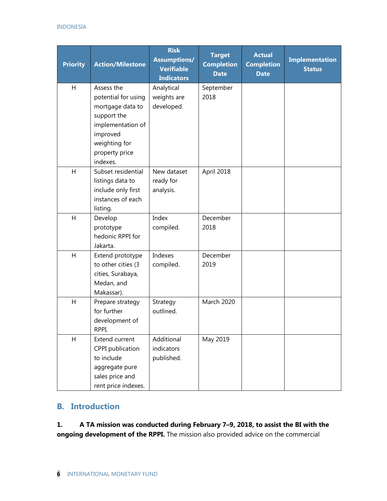#### INDONESIA

| <b>Priority</b> | <b>Action/Milestone</b>                                                                                                                              | <b>Risk</b><br><b>Assumptions/</b><br><b>Verifiable</b><br><b>Indicators</b> | <b>Target</b><br><b>Completion</b><br><b>Date</b> | <b>Actual</b><br><b>Completion</b><br><b>Date</b> | <b>Implementation</b><br><b>Status</b> |
|-----------------|------------------------------------------------------------------------------------------------------------------------------------------------------|------------------------------------------------------------------------------|---------------------------------------------------|---------------------------------------------------|----------------------------------------|
| H               | Assess the<br>potential for using<br>mortgage data to<br>support the<br>implementation of<br>improved<br>weighting for<br>property price<br>indexes. | Analytical<br>weights are<br>developed.                                      | September<br>2018                                 |                                                   |                                        |
| H               | Subset residential<br>listings data to<br>include only first<br>instances of each<br>listing.                                                        | New dataset<br>ready for<br>analysis.                                        | April 2018                                        |                                                   |                                        |
| H               | Develop<br>prototype<br>hedonic RPPI for<br>Jakarta.                                                                                                 | Index<br>compiled.                                                           | December<br>2018                                  |                                                   |                                        |
| H               | Extend prototype<br>to other cities (3<br>cities, Surabaya,<br>Medan, and<br>Makassar).                                                              | Indexes<br>compiled.                                                         | December<br>2019                                  |                                                   |                                        |
| $\overline{H}$  | Prepare strategy<br>for further<br>development of<br>RPPI.                                                                                           | Strategy<br>outlined.                                                        | March 2020                                        |                                                   |                                        |
| H               | Extend current<br>CPPI publication<br>to include<br>aggregate pure<br>sales price and<br>rent price indexes.                                         | Additional<br>indicators<br>published.                                       | May 2019                                          |                                                   |                                        |

### **B. Introduction**

**1. A TA mission was conducted during February 7–9, 2018, to assist the BI with the ongoing development of the RPPI.** The mission also provided advice on the commercial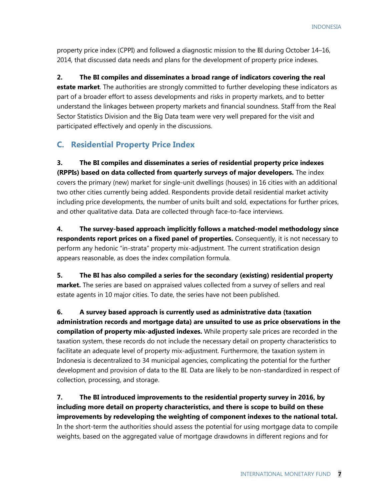property price index (CPPI) and followed a diagnostic mission to the BI during October 14–16, 2014, that discussed data needs and plans for the development of property price indexes.

**2. The BI compiles and disseminates a broad range of indicators covering the real estate market**. The authorities are strongly committed to further developing these indicators as part of a broader effort to assess developments and risks in property markets, and to better understand the linkages between property markets and financial soundness. Staff from the Real Sector Statistics Division and the Big Data team were very well prepared for the visit and participated effectively and openly in the discussions.

### **C. Residential Property Price Index**

**3. The BI compiles and disseminates a series of residential property price indexes (RPPIs) based on data collected from quarterly surveys of major developers.** The index covers the primary (new) market for single-unit dwellings (houses) in 16 cities with an additional two other cities currently being added. Respondents provide detail residential market activity including price developments, the number of units built and sold, expectations for further prices, and other qualitative data. Data are collected through face-to-face interviews.

**4. The survey-based approach implicitly follows a matched-model methodology since respondents report prices on a fixed panel of properties.** Consequently, it is not necessary to perform any hedonic "in-strata" property mix-adjustment. The current stratification design appears reasonable, as does the index compilation formula.

**5. The BI has also compiled a series for the secondary (existing) residential property market.** The series are based on appraised values collected from a survey of sellers and real estate agents in 10 major cities. To date, the series have not been published.

**6. A survey based approach is currently used as administrative data (taxation administration records and mortgage data) are unsuited to use as price observations in the compilation of property mix-adjusted indexes.** While property sale prices are recorded in the taxation system, these records do not include the necessary detail on property characteristics to facilitate an adequate level of property mix-adjustment. Furthermore, the taxation system in Indonesia is decentralized to 34 municipal agencies, complicating the potential for the further development and provision of data to the BI. Data are likely to be non-standardized in respect of collection, processing, and storage.

**7. The BI introduced improvements to the residential property survey in 2016, by including more detail on property characteristics, and there is scope to build on these improvements by redeveloping the weighting of component indexes to the national total.**  In the short-term the authorities should assess the potential for using mortgage data to compile weights, based on the aggregated value of mortgage drawdowns in different regions and for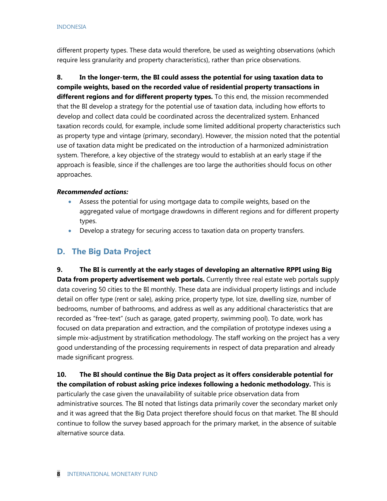different property types. These data would therefore, be used as weighting observations (which require less granularity and property characteristics), rather than price observations.

**8. In the longer-term, the BI could assess the potential for using taxation data to compile weights, based on the recorded value of residential property transactions in different regions and for different property types.** To this end, the mission recommended that the BI develop a strategy for the potential use of taxation data, including how efforts to develop and collect data could be coordinated across the decentralized system. Enhanced taxation records could, for example, include some limited additional property characteristics such as property type and vintage (primary, secondary). However, the mission noted that the potential use of taxation data might be predicated on the introduction of a harmonized administration system. Therefore, a key objective of the strategy would to establish at an early stage if the approach is feasible, since if the challenges are too large the authorities should focus on other approaches.

#### *Recommended actions:*

- Assess the potential for using mortgage data to compile weights, based on the aggregated value of mortgage drawdowns in different regions and for different property types.
- Develop a strategy for securing access to taxation data on property transfers.

### **D. The Big Data Project**

**9. The BI is currently at the early stages of developing an alternative RPPI using Big Data from property advertisement web portals.** Currently three real estate web portals supply data covering 50 cities to the BI monthly. These data are individual property listings and include detail on offer type (rent or sale), asking price, property type, lot size, dwelling size, number of bedrooms, number of bathrooms, and address as well as any additional characteristics that are recorded as "free-text" (such as garage, gated property, swimming pool). To date, work has focused on data preparation and extraction, and the compilation of prototype indexes using a simple mix-adjustment by stratification methodology. The staff working on the project has a very good understanding of the processing requirements in respect of data preparation and already made significant progress.

**10. The BI should continue the Big Data project as it offers considerable potential for the compilation of robust asking price indexes following a hedonic methodology.** This is particularly the case given the unavailability of suitable price observation data from administrative sources. The BI noted that listings data primarily cover the secondary market only and it was agreed that the Big Data project therefore should focus on that market. The BI should continue to follow the survey based approach for the primary market, in the absence of suitable alternative source data.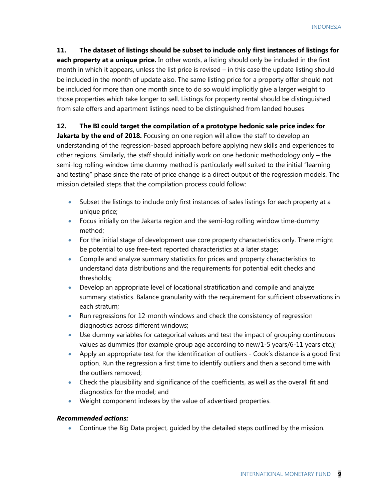**11. The dataset of listings should be subset to include only first instances of listings for each property at a unique price.** In other words, a listing should only be included in the first month in which it appears, unless the list price is revised – in this case the update listing should be included in the month of update also. The same listing price for a property offer should not be included for more than one month since to do so would implicitly give a larger weight to those properties which take longer to sell. Listings for property rental should be distinguished from sale offers and apartment listings need to be distinguished from landed houses

#### **12. The BI could target the compilation of a prototype hedonic sale price index for**

**Jakarta by the end of 2018.** Focusing on one region will allow the staff to develop an understanding of the regression-based approach before applying new skills and experiences to other regions. Similarly, the staff should initially work on one hedonic methodology only – the semi-log rolling-window time dummy method is particularly well suited to the initial "learning and testing" phase since the rate of price change is a direct output of the regression models. The mission detailed steps that the compilation process could follow:

- Subset the listings to include only first instances of sales listings for each property at a unique price;
- Focus initially on the Jakarta region and the semi-log rolling window time-dummy method;
- For the initial stage of development use core property characteristics only. There might be potential to use free-text reported characteristics at a later stage;
- Compile and analyze summary statistics for prices and property characteristics to understand data distributions and the requirements for potential edit checks and thresholds;
- Develop an appropriate level of locational stratification and compile and analyze summary statistics. Balance granularity with the requirement for sufficient observations in each stratum;
- Run regressions for 12-month windows and check the consistency of regression diagnostics across different windows;
- Use dummy variables for categorical values and test the impact of grouping continuous values as dummies (for example group age according to new/1-5 years/6-11 years etc.);
- Apply an appropriate test for the identification of outliers Cook's distance is a good first option. Run the regression a first time to identify outliers and then a second time with the outliers removed;
- Check the plausibility and significance of the coefficients, as well as the overall fit and diagnostics for the model; and
- Weight component indexes by the value of advertised properties.

#### *Recommended actions:*

• Continue the Big Data project, guided by the detailed steps outlined by the mission.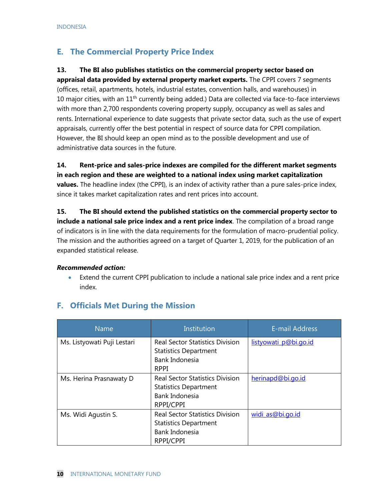# **E. The Commercial Property Price Index**

#### **13. The BI also publishes statistics on the commercial property sector based on**

**appraisal data provided by external property market experts.** The CPPI covers 7 segments (offices, retail, apartments, hotels, industrial estates, convention halls, and warehouses) in 10 major cities, with an  $11<sup>th</sup>$  currently being added.) Data are collected via face-to-face interviews with more than 2,700 respondents covering property supply, occupancy as well as sales and rents. International experience to date suggests that private sector data, such as the use of expert appraisals, currently offer the best potential in respect of source data for CPPI compilation. However, the BI should keep an open mind as to the possible development and use of administrative data sources in the future.

**14. Rent-price and sales-price indexes are compiled for the different market segments in each region and these are weighted to a national index using market capitalization values.** The headline index (the CPPI), is an index of activity rather than a pure sales-price index, since it takes market capitalization rates and rent prices into account.

**15. The BI should extend the published statistics on the commercial property sector to include a national sale price index and a rent price index**. The compilation of a broad range of indicators is in line with the data requirements for the formulation of macro-prudential policy. The mission and the authorities agreed on a target of Quarter 1, 2019, for the publication of an expanded statistical release.

#### *Recommended action:*

• Extend the current CPPI publication to include a national sale price index and a rent price index.

| <b>Name</b>                 | Institution                                                                                             | <b>E-mail Address</b> |
|-----------------------------|---------------------------------------------------------------------------------------------------------|-----------------------|
| Ms. Listyowati Puji Lestari | <b>Real Sector Statistics Division</b><br><b>Statistics Department</b><br>Bank Indonesia<br><b>RPPI</b> | listyowati p@bi.go.id |
| Ms. Herina Prasnawaty D     | <b>Real Sector Statistics Division</b><br><b>Statistics Department</b><br>Bank Indonesia<br>RPPI/CPPI   | herinapd@bi.go.id     |
| Ms. Widi Agustin S.         | <b>Real Sector Statistics Division</b><br><b>Statistics Department</b><br>Bank Indonesia<br>RPPI/CPPI   | widi_as@bi.go.id      |

### **F. Officials Met During the Mission**